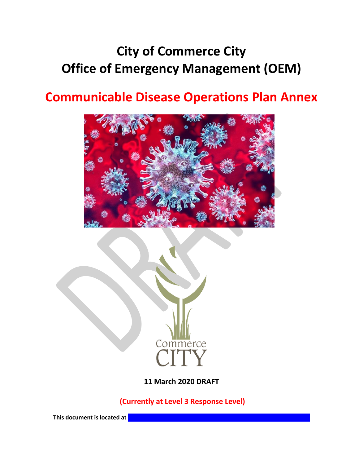# **City of Commerce City Office of Emergency Management (OEM)**

# **Communicable Disease Operations Plan Annex**





**11 March 2020 DRAFT**

**(Currently at Level 3 Response Level)**

**This document is located at**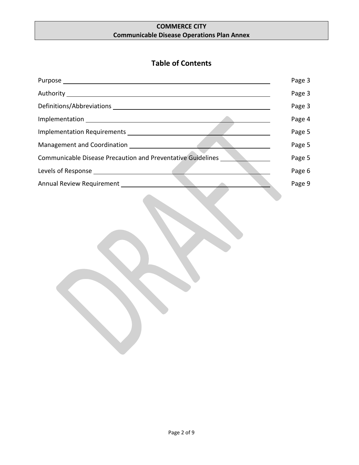## **Table of Contents**

|                                                             | Page 3 |
|-------------------------------------------------------------|--------|
|                                                             | Page 3 |
|                                                             | Page 3 |
|                                                             | Page 4 |
|                                                             | Page 5 |
| Management and Coordination                                 | Page 5 |
| Communicable Disease Precaution and Preventative Guidelines | Page 5 |
|                                                             | Page 6 |
|                                                             | Page 9 |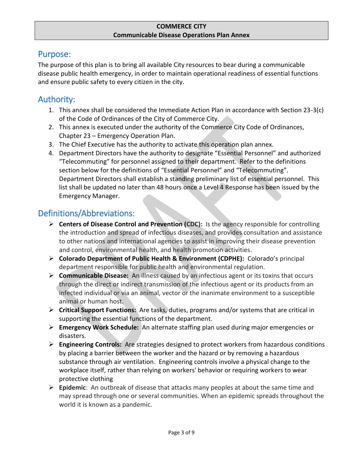## Purpose:

The purpose of this plan is to bring all available City resources to bear during a communicable disease public health emergency, in order to maintain operational readiness of essential functions and ensure public safety to every citizen in the city.

# Authority:

- 1. This annex shall be considered the Immediate Action Plan in accordance with Section 23-3(c) of the Code of Ordinances of the City of Commerce City.
- 2. This annex is executed under the authority of the Commerce City Code of Ordinances, Chapter 23 – Emergency Operation Plan.
- 3. The Chief Executive has the authority to activate this operation plan annex.
- 4. Department Directors have the authority to designate "Essential Personnel" and authorized "Telecommuting" for personnel assigned to their department. Refer to the definitions section below for the definitions of "Essential Personnel" and "Telecommuting". Department Directors shall establish a standing preliminary list of essential personnel. This list shall be updated no later than 48 hours once a Level 4 Response has been issued by the Emergency Manager.

# Definitions/Abbreviations:

- **Centers of Disease Control and Prevention (CDC):** Is the agency responsible for controlling the introduction and spread of infectious diseases, and provides consultation and assistance to other nations and international agencies to assist in improving their disease prevention and control, environmental health, and health promotion activities.
- **Colorado Department of Public Health & Environment (CDPHE):** Colorado's principal department responsible for public health and environmental regulation.
- **Communicable Disease:** An illness caused by an infectious agent or its toxins that occurs through the direct or indirect transmission of the infectious agent or its products from an infected individual or via an animal, vector or the inanimate environment to a susceptible animal or human host.
- **Critical Support Functions:** Are tasks, duties, programs and/or systems that are critical in supporting the essential functions of the department.
- **Emergency Work Schedule:** An alternate staffing plan used during major emergencies or disasters.
- **Engineering Controls:** Are strategies designed to protect workers from [hazardous conditions](https://en.wikipedia.org/wiki/Occupational_hazard) by placing a barrier between the worker and the hazard or by removing a hazardous substance through air [ventilation.](https://en.wikipedia.org/wiki/Ventilation_(architecture)) Engineering controls involve a physical change to the workplace itself, rather than relying on workers' behavior or requiring workers to wear protective clothing
- **Epidemic**: An outbreak of disease that attacks many peoples at about the same time and may spread through one or several communities. When an epidemic spreads throughout the world it is known as a pandemic.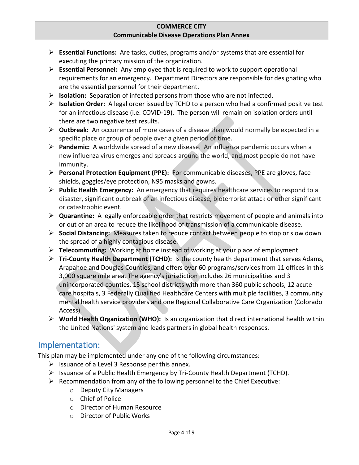- **Essential Functions:** Are tasks, duties, programs and/or systems that are essential for executing the primary mission of the organization.
- **Essential Personnel:** Any employee that is required to work to support operational requirements for an emergency. Department Directors are responsible for designating who are the essential personnel for their department.
- **Isolation:** Separation of infected persons from those who are not infected.
- **Isolation Order:** A legal order issued by TCHD to a person who had a confirmed positive test for an infectious disease (i.e. COVID-19). The person will remain on isolation orders until there are two negative test results.
- **Outbreak:** An occurrence of more cases of a disease than would normally be expected in a specific place or group of people over a given period of time.
- **Pandemic:** A worldwide spread of a new disease. An influenza pandemic occurs when a new influenza virus emerges and spreads around the world, and most people do not have immunity.
- **Personal Protection Equipment (PPE):** For communicable diseases, PPE are gloves, face shields, goggles/eye protection, N95 masks and gowns.
- **Public Health Emergency:** An emergency that requires healthcare services to respond to a disaster, significant outbreak of an infectious disease, bioterrorist attack or other significant or catastrophic event.
- **Quarantine:** A legally enforceable order that restricts movement of people and animals into or out of an area to reduce the likelihood of transmission of a communicable disease.
- **Social Distancing:** Measures taken to reduce contact between people to stop or slow down the spread of a highly contagious disease.
- **Telecommuting:** Working at home instead of working at your place of employment.
- **Tri-County Health Department (TCHD):** Is the county health department that serves Adams, Arapahoe and Douglas Counties, and offers over 60 programs/services from 11 offices in this 3,000 square mile area. The agency's jurisdiction includes 26 municipalities and 3 unincorporated counties, 15 school districts with more than 360 public schools, 12 acute care hospitals, 3 Federally Qualified Healthcare Centers with multiple facilities, 3 community mental health service providers and one Regional Collaborative Care Organization (Colorado Access).
- **World Health Organization (WHO):** Is an organization that direct international health within the United Nations' system and leads partners in global health responses.

## Implementation:

This plan may be implemented under any one of the following circumstances:

- $\triangleright$  Issuance of a Level 3 Response per this annex.
- $\triangleright$  Issuance of a Public Health Emergency by Tri-County Health Department (TCHD).
- $\triangleright$  Recommendation from any of the following personnel to the Chief Executive:
	- o Deputy City Managers
	- o Chief of Police
	- o Director of Human Resource
	- o Director of Public Works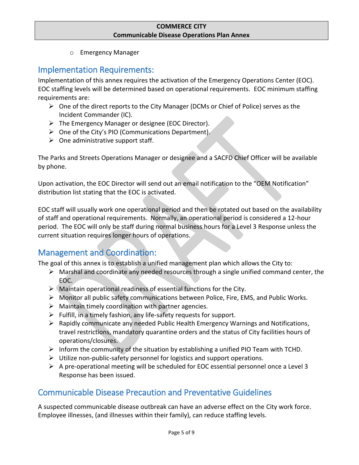o Emergency Manager

## Implementation Requirements:

Implementation of this annex requires the activation of the Emergency Operations Center (EOC). EOC staffing levels will be determined based on operational requirements. EOC minimum staffing requirements are:

- $\triangleright$  One of the direct reports to the City Manager (DCMs or Chief of Police) serves as the Incident Commander (IC).
- The Emergency Manager or designee (EOC Director).
- $\triangleright$  One of the City's PIO (Communications Department).
- $\triangleright$  One administrative support staff.

The Parks and Streets Operations Manager or designee and a SACFD Chief Officer will be available by phone.

Upon activation, the EOC Director will send out an email notification to the "OEM Notification" distribution list stating that the EOC is activated.

EOC staff will usually work one operational period and then be rotated out based on the availability of staff and operational requirements. Normally, an operational period is considered a 12-hour period. The EOC will only be staff during normal business hours for a Level 3 Response unless the current situation requires longer hours of operations.

# Management and Coordination:

The goal of this annex is to establish a unified management plan which allows the City to:

- $\triangleright$  Marshal and coordinate any needed resources through a single unified command center, the EOC.
- $\triangleright$  (Maintain operational readiness of essential functions for the City.
- $\triangleright$  Monitor all public safety communications between Police, Fire, EMS, and Public Works.
- $\triangleright$  Maintain timely coordination with partner agencies.
- $\triangleright$  Fulfill, in a timely fashion, any life-safety requests for support.
- $\triangleright$  Rapidly communicate any needed Public Health Emergency Warnings and Notifications, travel restrictions, mandatory quarantine orders and the status of City facilities hours of operations/closures.
- $\triangleright$  Inform the community of the situation by establishing a unified PIO Team with TCHD.
- $\triangleright$  Utilize non-public-safety personnel for logistics and support operations.
- $\triangleright$  A pre-operational meeting will be scheduled for EOC essential personnel once a Level 3 Response has been issued.

# Communicable Disease Precaution and Preventative Guidelines

A suspected communicable disease outbreak can have an adverse effect on the City work force. Employee illnesses, (and illnesses within their family), can reduce staffing levels.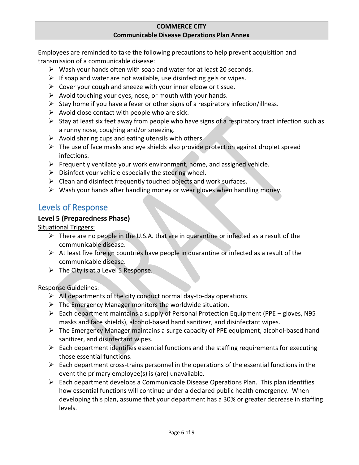Employees are reminded to take the following precautions to help prevent acquisition and transmission of a communicable disease:

- $\triangleright$  Wash your hands often with soap and water for at least 20 seconds.
- $\triangleright$  If soap and water are not available, use disinfecting gels or wipes.
- $\triangleright$  Cover your cough and sneeze with your inner elbow or tissue.
- $\triangleright$  Avoid touching your eyes, nose, or mouth with your hands.
- $\triangleright$  Stay home if you have a fever or other signs of a respiratory infection/illness.
- $\triangleright$  Avoid close contact with people who are sick.
- $\triangleright$  Stay at least six feet away from people who have signs of a respiratory tract infection such as a runny nose, coughing and/or sneezing.
- $\triangleright$  Avoid sharing cups and eating utensils with others.
- $\triangleright$  The use of face masks and eye shields also provide protection against droplet spread infections.
- $\triangleright$  Frequently ventilate your work environment, home, and assigned vehicle.
- $\triangleright$  Disinfect your vehicle especially the steering wheel.
- $\triangleright$  Clean and disinfect frequently touched objects and work surfaces.
- $\triangleright$  Wash your hands after handling money or wear gloves when handling money.

## Levels of Response

## **Level 5 (Preparedness Phase)**

Situational Triggers:

- $\triangleright$  There are no people in the U.S.A. that are in quarantine or infected as a result of the communicable disease.
- $\triangleright$  At least five foreign countries have people in quarantine or infected as a result of the communicable disease.
- $\triangleright$  The City is at a Level 5 Response.

## Response Guidelines:

- $\triangleright$  All departments of the city conduct normal day-to-day operations.
- $\triangleright$  The Emergency Manager monitors the worldwide situation.
- Each department maintains a supply of Personal Protection Equipment (PPE gloves, N95) masks and face shields), alcohol-based hand sanitizer, and disinfectant wipes.
- The Emergency Manager maintains a surge capacity of PPE equipment, alcohol-based hand sanitizer, and disinfectant wipes.
- $\triangleright$  Each department identifies essential functions and the staffing requirements for executing those essential functions.
- $\triangleright$  Each department cross-trains personnel in the operations of the essential functions in the event the primary employee(s) is (are) unavailable.
- $\triangleright$  Each department develops a Communicable Disease Operations Plan. This plan identifies how essential functions will continue under a declared public health emergency. When developing this plan, assume that your department has a 30% or greater decrease in staffing levels.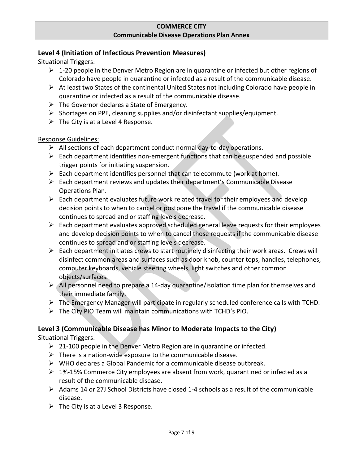## **Level 4 (Initiation of Infectious Prevention Measures)**

Situational Triggers:

- $\geq 1$ -20 people in the Denver Metro Region are in quarantine or infected but other regions of Colorado have people in quarantine or infected as a result of the communicable disease.
- $\triangleright$  At least two States of the continental United States not including Colorado have people in quarantine or infected as a result of the communicable disease.
- $\triangleright$  The Governor declares a State of Emergency.
- $\triangleright$  Shortages on PPE, cleaning supplies and/or disinfectant supplies/equipment.
- $\triangleright$  The City is at a Level 4 Response.

#### Response Guidelines:

- $\triangleright$  All sections of each department conduct normal day-to-day operations.
- $\triangleright$  Each department identifies non-emergent functions that can be suspended and possible trigger points for initiating suspension.
- $\triangleright$  Each department identifies personnel that can telecommute (work at home).
- $\triangleright$  Each department reviews and updates their department's Communicable Disease Operations Plan.
- $\triangleright$  Each department evaluates future work related travel for their employees and develop decision points to when to cancel or postpone the travel if the communicable disease continues to spread and or staffing levels decrease.
- $\triangleright$  Each department evaluates approved scheduled general leave requests for their employees and develop decision points to when to cancel those requests if the communicable disease continues to spread and or staffing levels decrease.
- $\triangleright$  Each department initiates crews to start routinely disinfecting their work areas. Crews will disinfect common areas and surfaces such as door knob, counter tops, handles, telephones, computer keyboards, vehicle steering wheels, light switches and other common objects/surfaces.
- $\triangleright$  All personnel need to prepare a 14-day quarantine/isolation time plan for themselves and their immediate family.
- The Emergency Manager will participate in regularly scheduled conference calls with TCHD.
- $\triangleright$  The City PIO Team will maintain communications with TCHD's PIO.

## **Level 3 (Communicable Disease has Minor to Moderate Impacts to the City)**

Situational Triggers:

- $\geq 21-100$  people in the Denver Metro Region are in quarantine or infected.
- $\triangleright$  There is a nation-wide exposure to the communicable disease.
- $\triangleright$  WHO declares a Global Pandemic for a communicable disease outbreak.
- $\triangleright$  1%-15% Commerce City employees are absent from work, quarantined or infected as a result of the communicable disease.
- $\triangleright$  Adams 14 or 27J School Districts have closed 1-4 schools as a result of the communicable disease.
- $\triangleright$  The City is at a Level 3 Response.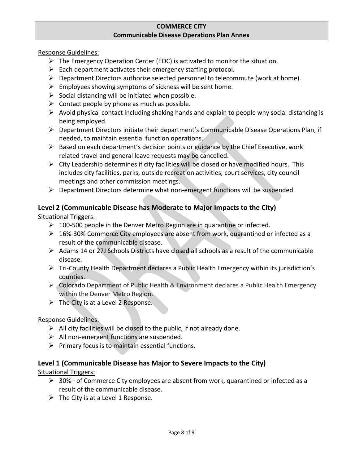Response Guidelines:

- $\triangleright$  The Emergency Operation Center (EOC) is activated to monitor the situation.
- $\triangleright$  Each department activates their emergency staffing protocol.
- $\triangleright$  Department Directors authorize selected personnel to telecommute (work at home).
- $\triangleright$  Employees showing symptoms of sickness will be sent home.
- $\triangleright$  Social distancing will be initiated when possible.
- $\triangleright$  Contact people by phone as much as possible.
- $\triangleright$  Avoid physical contact including shaking hands and explain to people why social distancing is being employed.
- $\triangleright$  Department Directors initiate their department's Communicable Disease Operations Plan, if needed, to maintain essential function operations.
- $\triangleright$  Based on each department's decision points or guidance by the Chief Executive, work related travel and general leave requests may be cancelled.
- $\triangleright$  City Leadership determines if city facilities will be closed or have modified hours. This includes city facilities, parks, outside recreation activities, court services, city council meetings and other commission meetings.
- $\triangleright$  Department Directors determine what non-emergent functions will be suspended.

## **Level 2 (Communicable Disease has Moderate to Major Impacts to the City)**

Situational Triggers:

- $\geq 100$ -500 people in the Denver Metro Region are in quarantine or infected.
- $\geq 16\%$ -30% Commerce City employees are absent from work, quarantined or infected as a result of the communicable disease.
- Adams 14 or 27J Schools Districts have closed all schools as a result of the communicable disease.
- Tri-County Health Department declares a Public Health Emergency within its jurisdiction's counties.
- Colorado Department of Public Health & Environment declares a Public Health Emergency within the Denver Metro Region.
- $\triangleright$  The City is at a Level 2 Response.

## Response Guidelines:

- $\triangleright$  All city facilities will be closed to the public, if not already done.
- $\triangleright$  All non-emergent functions are suspended.
- $\triangleright$  Primary focus is to maintain essential functions.

## **Level 1 (Communicable Disease has Major to Severe Impacts to the City)**

Situational Triggers:

- $\geq$  30%+ of Commerce City employees are absent from work, quarantined or infected as a result of the communicable disease.
- $\triangleright$  The City is at a Level 1 Response.